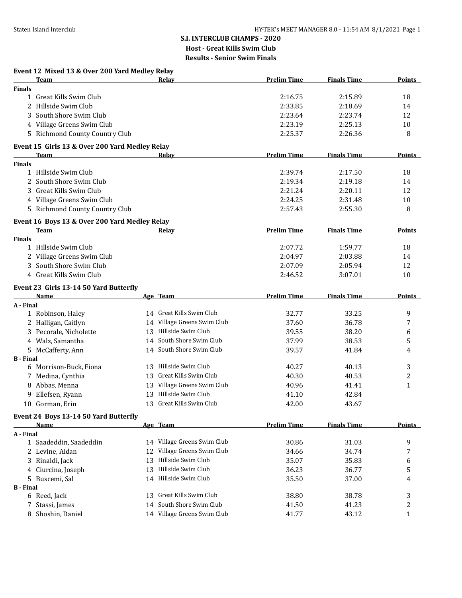# **S.I. INTERCLUB CHAMPS - 2020 Host - Great Kills Swim Club**

**Results - Senior Swim Finals**

|      | Event 12 Mixed 13 & Over 200 Yard Medlev Relav |
|------|------------------------------------------------|
| Team | Relav                                          |

|                  | <b>Team</b>                                    |    | <b>Relay</b>                | <b>Prelim Time</b> | <b>Finals Time</b> | <b>Points</b>  |
|------------------|------------------------------------------------|----|-----------------------------|--------------------|--------------------|----------------|
| <b>Finals</b>    |                                                |    |                             |                    |                    |                |
|                  | 1 Great Kills Swim Club                        |    |                             | 2:16.75            | 2:15.89            | 18             |
|                  | 2 Hillside Swim Club                           |    |                             | 2:33.85            | 2:18.69            | 14             |
| 3                | South Shore Swim Club                          |    |                             | 2:23.64            | 2:23.74            | 12             |
|                  | 4 Village Greens Swim Club                     |    |                             | 2:23.19            | 2:25.13            | 10             |
|                  | 5 Richmond County Country Club                 |    |                             | 2:25.37            | 2:26.36            | 8              |
|                  | Event 15 Girls 13 & Over 200 Yard Medley Relay |    |                             |                    |                    |                |
|                  | <b>Team</b>                                    |    | Relay                       | <b>Prelim Time</b> | <b>Finals Time</b> | <b>Points</b>  |
| <b>Finals</b>    |                                                |    |                             |                    |                    |                |
|                  | 1 Hillside Swim Club                           |    |                             | 2:39.74            | 2:17.50            | 18             |
|                  | 2 South Shore Swim Club                        |    |                             | 2:19.34            | 2:19.18            | 14             |
|                  | Great Kills Swim Club                          |    |                             | 2:21.24            | 2:20.11            | 12             |
|                  | 4 Village Greens Swim Club                     |    |                             | 2:24.25            | 2:31.48            | 10             |
|                  | 5 Richmond County Country Club                 |    |                             | 2:57.43            | 2:55.30            | 8              |
|                  | Event 16 Boys 13 & Over 200 Yard Medley Relay  |    |                             |                    |                    |                |
|                  | <b>Team</b>                                    |    | Relay                       | <b>Prelim Time</b> | <b>Finals Time</b> | <b>Points</b>  |
| <b>Finals</b>    | 1 Hillside Swim Club                           |    |                             |                    |                    |                |
|                  |                                                |    |                             | 2:07.72            | 1:59.77            | 18             |
|                  | 2 Village Greens Swim Club                     |    |                             | 2:04.97            | 2:03.88            | 14             |
|                  | 3 South Shore Swim Club                        |    |                             | 2:07.09            | 2:05.94            | 12             |
|                  | 4 Great Kills Swim Club                        |    |                             | 2:46.52            | 3:07.01            | 10             |
|                  | Event 23 Girls 13-14 50 Yard Butterfly         |    |                             |                    |                    |                |
|                  | Name                                           |    | Age Team                    | <b>Prelim Time</b> | <b>Finals Time</b> | <b>Points</b>  |
| A - Final        |                                                |    |                             |                    |                    |                |
|                  | 1 Robinson, Haley                              |    | 14 Great Kills Swim Club    | 32.77              | 33.25              | 9              |
|                  | 2 Halligan, Caitlyn                            |    | 14 Village Greens Swim Club | 37.60              | 36.78              | 7              |
|                  | 3 Pecorale, Nicholette                         |    | 13 Hillside Swim Club       | 39.55              | 38.20              | 6              |
|                  | 4 Walz, Samantha                               |    | 14 South Shore Swim Club    | 37.99              | 38.53              | 5              |
|                  | 5 McCafferty, Ann                              |    | 14 South Shore Swim Club    | 39.57              | 41.84              | 4              |
| <b>B</b> - Final |                                                |    |                             |                    |                    |                |
|                  | 6 Morrison-Buck, Fiona                         | 13 | Hillside Swim Club          | 40.27              | 40.13              | 3              |
|                  | 7 Medina, Cynthia                              |    | 13 Great Kills Swim Club    | 40.30              | 40.53              | $\overline{c}$ |
|                  | 8 Abbas, Menna                                 |    | 13 Village Greens Swim Club | 40.96              | 41.41              | $\mathbf{1}$   |
| 9                | Ellefsen, Ryann                                |    | 13 Hillside Swim Club       | 41.10              | 42.84              |                |
|                  | 10 Gorman, Erin                                |    | 13 Great Kills Swim Club    | 42.00              | 43.67              |                |
|                  | Event 24 Boys 13-14 50 Yard Butterfly          |    |                             |                    |                    |                |
|                  | Name                                           |    | Age Team                    | <b>Prelim Time</b> | <b>Finals Time</b> | <b>Points</b>  |
| A - Final        |                                                |    |                             |                    |                    |                |
|                  | 1 Saadeddin, Saadeddin                         |    | 14 Village Greens Swim Club | 30.86              | 31.03              | 9              |
|                  | 2 Levine, Aidan                                | 12 | Village Greens Swim Club    | 34.66              | 34.74              | 7              |
| 3                | Rinaldi, Jack                                  | 13 | Hillside Swim Club          | 35.07              | 35.83              | 6              |
|                  | 4 Ciurcina, Joseph                             | 13 | Hillside Swim Club          | 36.23              | 36.77              | 5              |
|                  | 5 Buscemi, Sal                                 |    | 14 Hillside Swim Club       | 35.50              | 37.00              | 4              |
| <b>B</b> - Final |                                                |    |                             |                    |                    |                |
|                  | 6 Reed, Jack                                   |    | 13 Great Kills Swim Club    | 38.80              | 38.78              | 3              |
| 7                | Stassi, James                                  | 14 | South Shore Swim Club       | 41.50              | 41.23              | 2              |
|                  | 8 Shoshin, Daniel                              |    | 14 Village Greens Swim Club | 41.77              | 43.12              | 1              |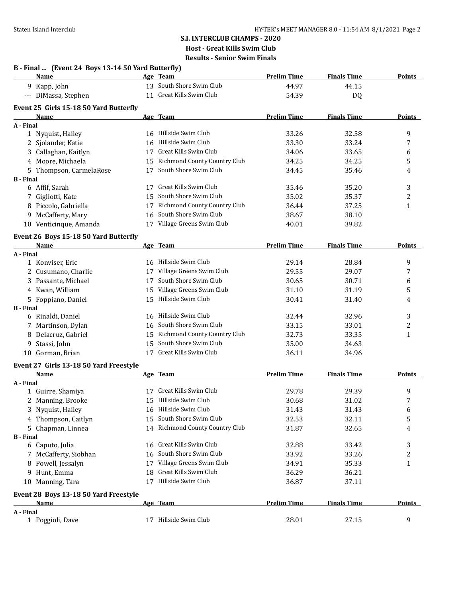|                  | Name                                   |    | Age Team                        | <b>Prelim Time</b> | <b>Finals Time</b> | <b>Points</b> |
|------------------|----------------------------------------|----|---------------------------------|--------------------|--------------------|---------------|
|                  | 9 Kapp, John                           |    | 13 South Shore Swim Club        | 44.97              | 44.15              |               |
|                  | --- DiMassa, Stephen                   |    | 11 Great Kills Swim Club        | 54.39              | DQ                 |               |
|                  | Event 25 Girls 15-18 50 Yard Butterfly |    |                                 |                    |                    |               |
|                  | Name                                   |    | Age Team                        | <b>Prelim Time</b> | <b>Finals Time</b> | <b>Points</b> |
| A - Final        |                                        |    |                                 |                    |                    |               |
|                  | 1 Nyquist, Hailey                      |    | 16 Hillside Swim Club           | 33.26              | 32.58              | 9             |
|                  | 2 Sjolander, Katie                     |    | 16 Hillside Swim Club           | 33.30              | 33.24              | 7             |
|                  | 3 Callaghan, Kaitlyn                   | 17 | Great Kills Swim Club           | 34.06              | 33.65              | 6             |
|                  | 4 Moore, Michaela                      |    | 15 Richmond County Country Club | 34.25              | 34.25              | 5             |
|                  | 5 Thompson, CarmelaRose                |    | 17 South Shore Swim Club        | 34.45              | 35.46              | 4             |
| <b>B</b> - Final |                                        |    |                                 |                    |                    |               |
|                  | 6 Affif, Sarah                         |    | 17 Great Kills Swim Club        | 35.46              | 35.20              | 3             |
|                  | 7 Gigliotti, Kate                      | 15 | South Shore Swim Club           | 35.02              | 35.37              | 2             |
|                  | 8 Piccolo, Gabriella                   | 17 | Richmond County Country Club    | 36.44              | 37.25              | 1             |
|                  | 9 McCafferty, Mary                     | 16 | South Shore Swim Club           | 38.67              | 38.10              |               |
|                  | 10 Venticinque, Amanda                 |    | 17 Village Greens Swim Club     | 40.01              | 39.82              |               |
|                  | Event 26 Boys 15-18 50 Yard Butterfly  |    |                                 |                    |                    |               |
|                  | Name                                   |    | Age Team                        | <b>Prelim Time</b> | <b>Finals Time</b> | <b>Points</b> |
| A - Final        |                                        |    |                                 |                    |                    |               |
|                  | 1 Konviser, Eric                       |    | 16 Hillside Swim Club           | 29.14              | 28.84              | 9             |
|                  | 2 Cusumano, Charlie                    |    | 17 Village Greens Swim Club     | 29.55              | 29.07              | 7             |
|                  | 3 Passante, Michael                    | 17 | South Shore Swim Club           | 30.65              | 30.71              | 6             |
|                  | 4 Kwan, William                        |    | 15 Village Greens Swim Club     | 31.10              | 31.19              | 5             |
|                  | 5 Foppiano, Daniel                     |    | 15 Hillside Swim Club           | 30.41              | 31.40              | 4             |
| <b>B</b> - Final |                                        |    |                                 |                    |                    |               |
|                  | 6 Rinaldi, Daniel                      |    | 16 Hillside Swim Club           | 32.44              | 32.96              | 3             |
|                  | 7 Martinson, Dylan                     |    | 16 South Shore Swim Club        | 33.15              | 33.01              | 2             |
|                  | 8 Delacruz, Gabriel                    |    | 15 Richmond County Country Club | 32.73              | 33.35              | 1             |
| 9                | Stassi, John                           |    | 15 South Shore Swim Club        | 35.00              | 34.63              |               |
| 10               | Gorman, Brian                          |    | 17 Great Kills Swim Club        | 36.11              | 34.96              |               |
|                  | Event 27 Girls 13-18 50 Yard Freestyle |    |                                 |                    |                    |               |
|                  | Name                                   |    | Age Team                        | <b>Prelim Time</b> | <b>Finals Time</b> | <b>Points</b> |
| A - Final        |                                        |    |                                 |                    |                    |               |
|                  | 1 Guirre, Shamiya                      |    | 17 Great Kills Swim Club        | 29.78              | 29.39              | 9             |
|                  | 2 Manning, Brooke                      |    | 15 Hillside Swim Club           | 30.68              | 31.02              | 7             |
|                  | 3 Nyquist, Hailey                      |    | 16 Hillside Swim Club           | 31.43              | 31.43              | 6             |
|                  | 4 Thompson, Caitlyn                    | 15 | South Shore Swim Club           | 32.53              | 32.11              | 5             |
|                  | 5 Chapman, Linnea                      |    | 14 Richmond County Country Club | 31.87              | 32.65              | 4             |
| <b>B</b> - Final |                                        |    |                                 |                    |                    |               |
|                  | 6 Caputo, Julia                        |    | 16 Great Kills Swim Club        | 32.88              | 33.42              | 3             |
|                  | 7 McCafferty, Siobhan                  | 16 | South Shore Swim Club           | 33.92              | 33.26              | 2             |
|                  | 8 Powell, Jessalyn                     |    | 17 Village Greens Swim Club     | 34.91              | 35.33              | $\mathbf{1}$  |
|                  | 9 Hunt, Emma                           |    | 18 Great Kills Swim Club        | 36.29              | 36.21              |               |
|                  | 10 Manning, Tara                       |    | 17 Hillside Swim Club           | 36.87              | 37.11              |               |
|                  | Event 28 Boys 13-18 50 Yard Freestyle  |    |                                 |                    |                    |               |
|                  | <b>Name</b>                            |    | Age Team                        | <b>Prelim Time</b> | <b>Finals Time</b> | <b>Points</b> |
| A - Final        |                                        |    |                                 |                    |                    |               |
|                  | 1 Poggioli, Dave                       |    | 17 Hillside Swim Club           | 28.01              | 27.15              | 9             |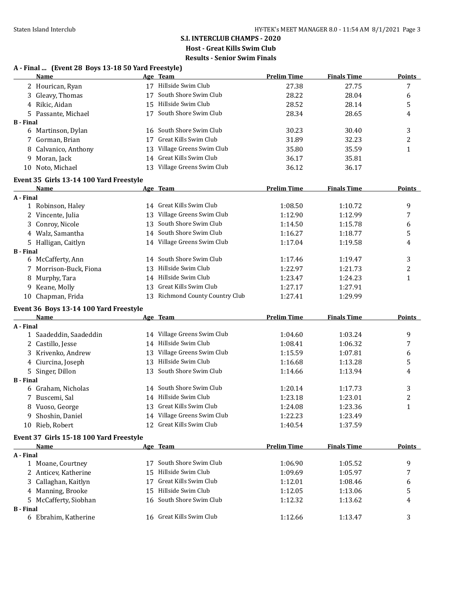| A - Final  (Event 28 Boys 13-18 50 Yard Freestyle)<br>Name |    | Age Team                        | <b>Prelim Time</b> | <b>Finals Time</b> | <b>Points</b>    |
|------------------------------------------------------------|----|---------------------------------|--------------------|--------------------|------------------|
| 2 Hourican, Ryan                                           |    | 17 Hillside Swim Club           | 27.38              | 27.75              | 7                |
| 3 Gleavy, Thomas                                           |    | 17 South Shore Swim Club        | 28.22              | 28.04              | 6                |
| 4 Rikic, Aidan                                             |    | 15 Hillside Swim Club           | 28.52              | 28.14              | 5                |
| 5 Passante, Michael                                        |    | 17 South Shore Swim Club        | 28.34              | 28.65              | 4                |
| <b>B</b> - Final                                           |    |                                 |                    |                    |                  |
| 6 Martinson, Dylan                                         |    | 16 South Shore Swim Club        | 30.23              | 30.40              | 3                |
| 7 Gorman, Brian                                            | 17 | Great Kills Swim Club           | 31.89              | 32.23              | 2                |
| Calvanico, Anthony<br>8                                    |    | 13 Village Greens Swim Club     | 35.80              | 35.59              | 1                |
| Moran, Jack<br>9.                                          | 14 | Great Kills Swim Club           | 36.17              | 35.81              |                  |
| 10 Noto, Michael                                           |    | 13 Village Greens Swim Club     | 36.12              | 36.17              |                  |
| Event 35 Girls 13-14 100 Yard Freestyle                    |    |                                 |                    |                    |                  |
| Name                                                       |    | Age Team                        | <b>Prelim Time</b> | <b>Finals Time</b> | <b>Points</b>    |
| A - Final                                                  |    |                                 |                    |                    |                  |
| 1 Robinson, Haley                                          |    | 14 Great Kills Swim Club        | 1:08.50            | 1:10.72            | 9                |
| 2 Vincente, Julia                                          | 13 | Village Greens Swim Club        | 1:12.90            | 1:12.99            | 7                |
| 3 Conroy, Nicole                                           | 13 | South Shore Swim Club           | 1:14.50            | 1:15.78            | 6                |
| 4 Walz, Samantha                                           |    | 14 South Shore Swim Club        | 1:16.27            | 1:18.77            | 5                |
| 5 Halligan, Caitlyn                                        |    | 14 Village Greens Swim Club     | 1:17.04            | 1:19.58            | 4                |
| <b>B</b> - Final                                           |    |                                 |                    |                    |                  |
| 6 McCafferty, Ann                                          | 14 | South Shore Swim Club           | 1:17.46            | 1:19.47            | 3                |
| 7 Morrison-Buck, Fiona                                     | 13 | Hillside Swim Club              | 1:22.97            | 1:21.73            | $\boldsymbol{2}$ |
| 8 Murphy, Tara                                             |    | 14 Hillside Swim Club           | 1:23.47            | 1:24.23            | $\mathbf{1}$     |
| 9 Keane, Molly                                             | 13 | Great Kills Swim Club           | 1:27.17            | 1:27.91            |                  |
| 10 Chapman, Frida                                          |    | 13 Richmond County Country Club | 1:27.41            | 1:29.99            |                  |
| Event 36 Boys 13-14 100 Yard Freestyle                     |    |                                 |                    |                    |                  |
| <b>Name</b>                                                |    | Age Team                        | <b>Prelim Time</b> | <b>Finals Time</b> | Points           |
| A - Final                                                  |    |                                 |                    |                    |                  |
| 1 Saadeddin, Saadeddin                                     |    | 14 Village Greens Swim Club     | 1:04.60            | 1:03.24            | 9                |
| 2 Castillo, Jesse                                          |    | 14 Hillside Swim Club           | 1:08.41            | 1:06.32            | 7                |
| 3 Krivenko, Andrew                                         |    | 13 Village Greens Swim Club     | 1:15.59            | 1:07.81            | 6                |
| 4 Ciurcina, Joseph                                         |    | 13 Hillside Swim Club           | 1:16.68            | 1:13.28            | 5                |
| 5 Singer, Dillon                                           |    | 13 South Shore Swim Club        | 1:14.66            | 1:13.94            | 4                |
| <b>B</b> - Final                                           |    |                                 |                    |                    |                  |
| 6 Graham, Nicholas                                         |    | 14 South Shore Swim Club        | 1:20.14            | 1:17.73            | 3                |
| 7 Buscemi, Sal                                             |    | 14 Hillside Swim Club           | 1:23.18            | 1:23.01            | 2                |
| 8 Vuoso, George                                            |    | 13 Great Kills Swim Club        | 1:24.08            | 1:23.36            | 1                |
| 9 Shoshin, Daniel                                          |    | 14 Village Greens Swim Club     | 1:22.23            | 1:23.49            |                  |
| 10 Rieb, Robert                                            |    | 12 Great Kills Swim Club        | 1:40.54            | 1:37.59            |                  |
| Event 37 Girls 15-18 100 Yard Freestyle                    |    |                                 |                    |                    |                  |
| Name                                                       |    | Age Team                        | <b>Prelim Time</b> | <b>Finals Time</b> | <b>Points</b>    |
| A - Final                                                  |    |                                 |                    |                    |                  |
| 1 Moane, Courtney                                          |    | 17 South Shore Swim Club        | 1:06.90            | 1:05.52            | 9                |
| 2 Anticev, Katherine                                       | 15 | Hillside Swim Club              | 1:09.69            | 1:05.97            | 7                |
| 3 Callaghan, Kaitlyn                                       |    | 17 Great Kills Swim Club        | 1:12.01            | 1:08.46            | 6                |
| 4 Manning, Brooke                                          | 15 | Hillside Swim Club              | 1:12.05            | 1:13.06            | 5                |
| 5 McCafferty, Siobhan                                      |    | 16 South Shore Swim Club        | 1:12.32            | 1:13.62            | 4                |
| <b>B</b> - Final                                           |    |                                 |                    |                    |                  |
| 6 Ebrahim, Katherine                                       |    | 16 Great Kills Swim Club        | 1:12.66            | 1:13.47            | 3                |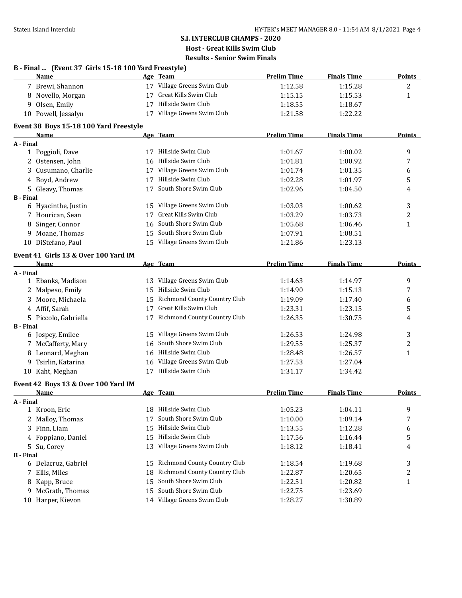|                  | B - Final  (Event 37 Girls 15-18 100 Yard Freestyle)<br>Name |    | Age Team                            | <b>Prelim Time</b> | <b>Finals Time</b> | <b>Points</b> |
|------------------|--------------------------------------------------------------|----|-------------------------------------|--------------------|--------------------|---------------|
|                  | 7 Brewi, Shannon                                             |    | 17 Village Greens Swim Club         | 1:12.58            | 1:15.28            | 2             |
|                  | 8 Novello, Morgan                                            |    | 17 Great Kills Swim Club            | 1:15.15            | 1:15.53            | $\mathbf{1}$  |
|                  | 9 Olsen, Emily                                               |    | 17 Hillside Swim Club               | 1:18.55            | 1:18.67            |               |
|                  | 10 Powell, Jessalyn                                          |    | 17 Village Greens Swim Club         | 1:21.58            | 1:22.22            |               |
|                  | Event 38 Boys 15-18 100 Yard Freestyle                       |    |                                     |                    |                    |               |
|                  | Name                                                         |    | Age Team                            | <b>Prelim Time</b> | <b>Finals Time</b> | <b>Points</b> |
| A - Final        |                                                              |    |                                     |                    |                    |               |
|                  | 1 Poggioli, Dave                                             |    | 17 Hillside Swim Club               | 1:01.67            | 1:00.02            | 9             |
|                  | 2 Ostensen, John                                             |    | 16 Hillside Swim Club               | 1:01.81            | 1:00.92            | 7             |
|                  | 3 Cusumano, Charlie                                          |    | 17 Village Greens Swim Club         | 1:01.74            | 1:01.35            | 6             |
|                  | 4 Boyd, Andrew                                               | 17 | Hillside Swim Club                  | 1:02.28            | 1:01.97            | 5             |
|                  | 5 Gleavy, Thomas                                             | 17 | South Shore Swim Club               | 1:02.96            | 1:04.50            | 4             |
| <b>B</b> - Final |                                                              |    |                                     |                    |                    |               |
|                  | 6 Hyacinthe, Justin                                          |    | 15 Village Greens Swim Club         | 1:03.03            | 1:00.62            | 3             |
|                  | 7 Hourican, Sean                                             | 17 | Great Kills Swim Club               | 1:03.29            | 1:03.73            | 2             |
|                  | 8 Singer, Connor                                             | 16 | South Shore Swim Club               | 1:05.68            | 1:06.46            | $\mathbf{1}$  |
|                  | 9 Moane, Thomas                                              |    | 15 South Shore Swim Club            | 1:07.91            | 1:08.51            |               |
|                  | 10 DiStefano, Paul                                           |    | 15 Village Greens Swim Club         | 1:21.86            | 1:23.13            |               |
|                  | Event 41 Girls 13 & Over 100 Yard IM                         |    |                                     |                    |                    |               |
|                  | <b>Name</b>                                                  |    | Age Team                            | <b>Prelim Time</b> | <b>Finals Time</b> | <b>Points</b> |
| A - Final        |                                                              |    |                                     |                    |                    |               |
|                  | 1 Ebanks, Madison                                            |    | 13 Village Greens Swim Club         | 1:14.63            | 1:14.97            | 9             |
|                  | 2 Malpeso, Emily                                             |    | 15 Hillside Swim Club               | 1:14.90            | 1:15.13            | 7             |
|                  | 3 Moore, Michaela                                            |    | 15 Richmond County Country Club     | 1:19.09            | 1:17.40            | 6             |
|                  | 4 Affif, Sarah                                               |    | 17 Great Kills Swim Club            | 1:23.31            | 1:23.15            | 5             |
|                  | 5 Piccolo, Gabriella                                         |    | 17 Richmond County Country Club     | 1:26.35            | 1:30.75            | 4             |
| <b>B</b> - Final |                                                              |    |                                     |                    |                    |               |
|                  | 6 Jospey, Emilee                                             |    | 15 Village Greens Swim Club         | 1:26.53            | 1:24.98            | 3             |
|                  | 7 McCafferty, Mary                                           |    | 16 South Shore Swim Club            | 1:29.55            | 1:25.37            | 2             |
|                  | 8 Leonard, Meghan                                            |    | 16 Hillside Swim Club               | 1:28.48            | 1:26.57            | 1             |
|                  | 9 Tsirlin, Katarina                                          |    | 16 Village Greens Swim Club         | 1:27.53            | 1:27.04            |               |
|                  | 10 Kaht, Meghan                                              |    | 17 Hillside Swim Club               | 1:31.17            | 1:34.42            |               |
|                  | Event 42 Boys 13 & Over 100 Yard IM                          |    |                                     |                    |                    |               |
|                  | <b>Name</b>                                                  |    | Age Team                            | <b>Prelim Time</b> | <b>Finals Time</b> | <b>Points</b> |
| A - Final        |                                                              |    |                                     |                    |                    |               |
|                  | 1 Kroon, Eric                                                |    | 18 Hillside Swim Club               | 1:05.23            | 1:04.11            | 9             |
| 2                | Malloy, Thomas                                               | 17 | South Shore Swim Club               | 1:10.00            | 1:09.14            | 7             |
|                  | 3 Finn, Liam                                                 | 15 | Hillside Swim Club                  | 1:13.55            | 1:12.28            | 6             |
|                  | 4 Foppiano, Daniel                                           |    | 15 Hillside Swim Club               | 1:17.56            | 1:16.44            | 5             |
|                  | 5 Su, Corey                                                  |    | 13 Village Greens Swim Club         | 1:18.12            | 1:18.41            | 4             |
| <b>B</b> - Final |                                                              |    |                                     |                    |                    |               |
|                  | 6 Delacruz, Gabriel                                          | 15 | <b>Richmond County Country Club</b> | 1:18.54            | 1:19.68            | 3             |
|                  | 7 Ellis, Miles                                               | 18 | Richmond County Country Club        | 1:22.87            | 1:20.65            | 2             |
|                  | 8 Kapp, Bruce                                                | 15 | South Shore Swim Club               | 1:22.51            | 1:20.82            | $\mathbf{1}$  |
| 9.               | McGrath, Thomas                                              | 15 | South Shore Swim Club               | 1:22.75            | 1:23.69            |               |
|                  | 10 Harper, Kievon                                            |    | 14 Village Greens Swim Club         | 1:28.27            | 1:30.89            |               |
|                  |                                                              |    |                                     |                    |                    |               |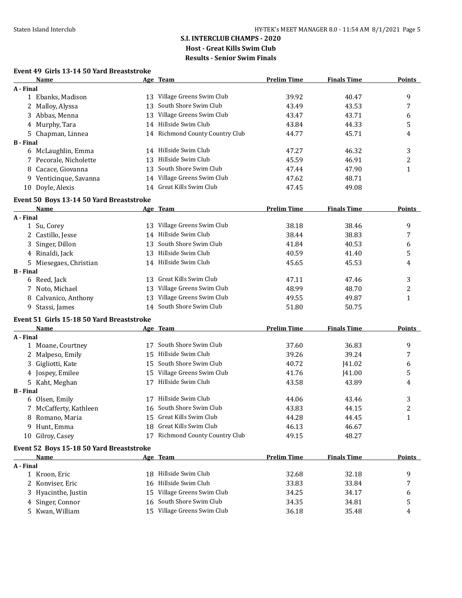#### **Event 49 Girls 13-14 50 Yard Breaststroke**

|                  | Name                                             |    | Age Team                        | <b>Prelim Time</b> | <b>Finals Time</b> | <b>Points</b> |
|------------------|--------------------------------------------------|----|---------------------------------|--------------------|--------------------|---------------|
| A - Final        |                                                  |    |                                 |                    |                    |               |
|                  | 1 Ebanks, Madison                                |    | 13 Village Greens Swim Club     | 39.92              | 40.47              | 9             |
|                  | 2 Malloy, Alyssa                                 | 13 | South Shore Swim Club           | 43.49              | 43.53              | 7             |
|                  | 3 Abbas, Menna                                   | 13 | Village Greens Swim Club        | 43.47              | 43.71              | 6             |
|                  | 4 Murphy, Tara                                   |    | 14 Hillside Swim Club           | 43.84              | 44.33              | 5             |
|                  | 5 Chapman, Linnea                                |    | 14 Richmond County Country Club | 44.77              | 45.71              | 4             |
| <b>B</b> - Final |                                                  |    |                                 |                    |                    |               |
|                  | 6 McLaughlin, Emma                               |    | 14 Hillside Swim Club           | 47.27              | 46.32              | 3             |
|                  | 7 Pecorale, Nicholette                           | 13 | Hillside Swim Club              | 45.59              | 46.91              | 2             |
| 8                | Cacace, Giovanna                                 | 13 | South Shore Swim Club           | 47.44              | 47.90              | $\mathbf{1}$  |
| 9                | Venticinque, Savanna                             |    | 14 Village Greens Swim Club     | 47.62              | 48.71              |               |
|                  | 10 Doyle, Alexis                                 | 14 | Great Kills Swim Club           | 47.45              | 49.08              |               |
|                  |                                                  |    |                                 |                    |                    |               |
|                  | Event 50 Boys 13-14 50 Yard Breaststroke<br>Name |    | Age Team                        | <b>Prelim Time</b> | <b>Finals Time</b> | <b>Points</b> |
| A - Final        |                                                  |    |                                 |                    |                    |               |
|                  | 1 Su, Corey                                      |    | 13 Village Greens Swim Club     | 38.18              | 38.46              | 9             |
|                  | 2 Castillo, Jesse                                | 14 | Hillside Swim Club              | 38.44              | 38.83              | 7             |
| 3.               | Singer, Dillon                                   | 13 | South Shore Swim Club           | 41.84              | 40.53              |               |
|                  |                                                  |    | Hillside Swim Club              |                    |                    | 6             |
|                  | 4 Rinaldi, Jack                                  | 13 |                                 | 40.59              | 41.40              | 5             |
|                  | 5 Miesegaes, Christian                           |    | 14 Hillside Swim Club           | 45.65              | 45.53              | 4             |
| <b>B</b> - Final |                                                  |    | 13 Great Kills Swim Club        | 47.11              |                    |               |
|                  | 6 Reed, Jack                                     |    |                                 |                    | 47.46              | 3             |
|                  | 7 Noto, Michael                                  | 13 | Village Greens Swim Club        | 48.99              | 48.70              | 2             |
|                  | 8 Calvanico, Anthony                             | 13 | Village Greens Swim Club        | 49.55              | 49.87              | $\mathbf{1}$  |
|                  | 9 Stassi, James                                  |    | 14 South Shore Swim Club        | 51.80              | 50.75              |               |
|                  | Event 51 Girls 15-18 50 Yard Breaststroke        |    |                                 |                    |                    |               |
|                  | <b>Name</b>                                      |    | Age Team                        | <b>Prelim Time</b> | <b>Finals Time</b> | <b>Points</b> |
| A - Final        |                                                  |    |                                 |                    |                    |               |
|                  | 1 Moane, Courtney                                | 17 | South Shore Swim Club           | 37.60              | 36.83              | 9             |
|                  | 2 Malpeso, Emily                                 | 15 | Hillside Swim Club              | 39.26              | 39.24              | 7             |
| 3                | Gigliotti, Kate                                  | 15 | South Shore Swim Club           | 40.72              | J41.02             | 6             |
|                  | 4 Jospey, Emilee                                 | 15 | Village Greens Swim Club        | 41.76              | <b>I41.00</b>      | 5             |
|                  | 5 Kaht, Meghan                                   | 17 | Hillside Swim Club              | 43.58              | 43.89              | 4             |
| <b>B</b> - Final |                                                  |    |                                 |                    |                    |               |
|                  | 6 Olsen, Emily                                   |    | 17 Hillside Swim Club           | 44.06              | 43.46              | 3             |
|                  | 7 McCafferty, Kathleen                           |    | 16 South Shore Swim Club        | 43.83              | 44.15              | 2             |
|                  | 8 Romano, Maria                                  |    | 15 Great Kills Swim Club        | 44.28              | 44.45              | 1             |
| 9                | Hunt, Emma                                       |    | 18 Great Kills Swim Club        | 46.13              | 46.67              |               |
|                  | 10 Gilroy, Casey                                 |    | 17 Richmond County Country Club | 49.15              | 48.27              |               |
|                  | Event 52 Boys 15-18 50 Yard Breaststroke         |    |                                 |                    |                    |               |
|                  | <b>Name</b>                                      |    | Age Team                        | <b>Prelim Time</b> | <b>Finals Time</b> | <b>Points</b> |
| A - Final        |                                                  |    |                                 |                    |                    |               |
|                  | 1 Kroon, Eric                                    |    | 18 Hillside Swim Club           | 32.68              | 32.18              | 9             |
|                  | 2 Konviser, Eric                                 | 16 | Hillside Swim Club              | 33.83              | 33.84              | 7             |
| 3                | Hyacinthe, Justin                                | 15 | Village Greens Swim Club        | 34.25              | 34.17              | 6             |
|                  | 4 Singer, Connor                                 | 16 | South Shore Swim Club           | 34.35              | 34.81              | 5             |
|                  | 5 Kwan, William                                  |    | 15 Village Greens Swim Club     | 36.18              | 35.48              | 4             |
|                  |                                                  |    |                                 |                    |                    |               |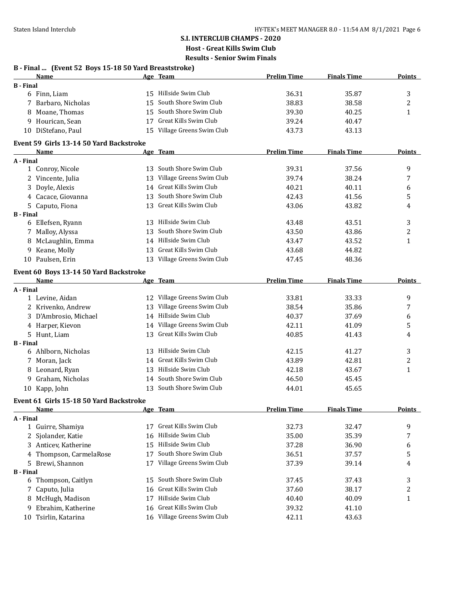### **S.I. INTERCLUB CHAMPS - 2020 Host - Great Kills Swim Club**

**Results - Senior Swim Finals**

|                  | B - Final  (Event 52 Boys 15-18 50 Yard Breaststroke) |    |                             |                    |                    |               |
|------------------|-------------------------------------------------------|----|-----------------------------|--------------------|--------------------|---------------|
|                  | Name                                                  |    | Age Team                    | <b>Prelim Time</b> | <b>Finals Time</b> | <b>Points</b> |
| <b>B</b> - Final |                                                       |    |                             |                    |                    |               |
|                  | 6 Finn, Liam                                          |    | 15 Hillside Swim Club       | 36.31              | 35.87              | 3             |
|                  | 7 Barbaro, Nicholas                                   |    | 15 South Shore Swim Club    | 38.83              | 38.58              | 2             |
|                  | 8 Moane, Thomas                                       | 15 | South Shore Swim Club       | 39.30              | 40.25              | $\mathbf{1}$  |
|                  | 9 Hourican, Sean                                      |    | 17 Great Kills Swim Club    | 39.24              | 40.47              |               |
|                  | 10 DiStefano, Paul                                    |    | 15 Village Greens Swim Club | 43.73              | 43.13              |               |
|                  | Event 59 Girls 13-14 50 Yard Backstroke               |    |                             |                    |                    |               |
|                  | Name                                                  |    | Age Team                    | <b>Prelim Time</b> | <b>Finals Time</b> | Points        |
| A - Final        |                                                       |    |                             |                    |                    |               |
|                  | 1 Conroy, Nicole                                      |    | 13 South Shore Swim Club    | 39.31              | 37.56              | 9             |
|                  | 2 Vincente, Julia                                     |    | 13 Village Greens Swim Club | 39.74              | 38.24              | 7             |
|                  | 3 Doyle, Alexis                                       |    | 14 Great Kills Swim Club    | 40.21              | 40.11              | 6             |
|                  | 4 Cacace, Giovanna                                    |    | 13 South Shore Swim Club    | 42.43              | 41.56              | 5             |
|                  | 5 Caputo, Fiona                                       |    | 13 Great Kills Swim Club    | 43.06              | 43.82              | 4             |
| <b>B</b> - Final |                                                       |    | 13 Hillside Swim Club       |                    |                    |               |
|                  | 6 Ellefsen, Ryann                                     |    | South Shore Swim Club       | 43.48              | 43.51              | 3             |
|                  | 7 Malloy, Alyssa                                      | 13 |                             | 43.50              | 43.86              | 2             |
|                  | 8 McLaughlin, Emma                                    |    | 14 Hillside Swim Club       | 43.47              | 43.52              | $\mathbf{1}$  |
|                  | 9 Keane, Molly                                        | 13 | Great Kills Swim Club       | 43.68              | 44.82              |               |
|                  | 10 Paulsen, Erin                                      |    | 13 Village Greens Swim Club | 47.45              | 48.36              |               |
|                  | Event 60 Boys 13-14 50 Yard Backstroke                |    |                             |                    |                    |               |
|                  | Name                                                  |    | Age Team                    | <b>Prelim Time</b> | <b>Finals Time</b> | Points        |
| A - Final        |                                                       |    |                             |                    |                    |               |
|                  | 1 Levine, Aidan                                       |    | 12 Village Greens Swim Club | 33.81              | 33.33              | 9             |
|                  | 2 Krivenko, Andrew                                    |    | 13 Village Greens Swim Club | 38.54              | 35.86              | 7             |
|                  | 3 D'Ambrosio, Michael                                 |    | 14 Hillside Swim Club       | 40.37              | 37.69              | 6             |
|                  | 4 Harper, Kievon                                      |    | 14 Village Greens Swim Club | 42.11              | 41.09              | 5             |
|                  | 5 Hunt, Liam                                          |    | 13 Great Kills Swim Club    | 40.85              | 41.43              | 4             |
| <b>B</b> - Final |                                                       |    |                             |                    |                    |               |
|                  | 6 Ahlborn, Nicholas                                   |    | 13 Hillside Swim Club       | 42.15              | 41.27              | 3             |
|                  | 7 Moran, Jack                                         |    | 14 Great Kills Swim Club    | 43.89              | 42.81              | 2             |
|                  | 8 Leonard, Ryan                                       |    | 13 Hillside Swim Club       | 42.18              | 43.67              | $\mathbf{1}$  |
|                  | 9 Graham, Nicholas                                    |    | 14 South Shore Swim Club    | 46.50              | 45.45              |               |
|                  | 10 Kapp, John                                         |    | 13 South Shore Swim Club    | 44.01              | 45.65              |               |
|                  | Event 61 Girls 15-18 50 Yard Backstroke               |    |                             |                    |                    |               |
|                  | Name                                                  |    | Age Team                    | <b>Prelim Time</b> | <b>Finals Time</b> | <b>Points</b> |
| A - Final        |                                                       |    |                             |                    |                    |               |
|                  | 1 Guirre, Shamiya                                     | 17 | Great Kills Swim Club       | 32.73              | 32.47              | 9             |
| 2.               | Sjolander, Katie                                      | 16 | Hillside Swim Club          | 35.00              | 35.39              | 7             |
|                  | 3 Anticev, Katherine                                  | 15 | Hillside Swim Club          | 37.28              | 36.90              | 6             |
|                  | 4 Thompson, CarmelaRose                               | 17 | South Shore Swim Club       | 36.51              | 37.57              | 5             |
|                  | 5 Brewi, Shannon                                      |    | 17 Village Greens Swim Club | 37.39              | 39.14              | 4             |
| <b>B</b> - Final |                                                       |    |                             |                    |                    |               |
|                  | 6 Thompson, Caitlyn                                   | 15 | South Shore Swim Club       | 37.45              | 37.43              | 3             |
| 7                | Caputo, Julia                                         | 16 | Great Kills Swim Club       | 37.60              | 38.17              | 2             |
| 8                | McHugh, Madison                                       | 17 | Hillside Swim Club          | 40.40              | 40.09              | 1             |
| 9.               | Ebrahim, Katherine                                    | 16 | Great Kills Swim Club       | 39.32              | 41.10              |               |
|                  | 10 Tsirlin, Katarina                                  |    | 16 Village Greens Swim Club | 42.11              | 43.63              |               |